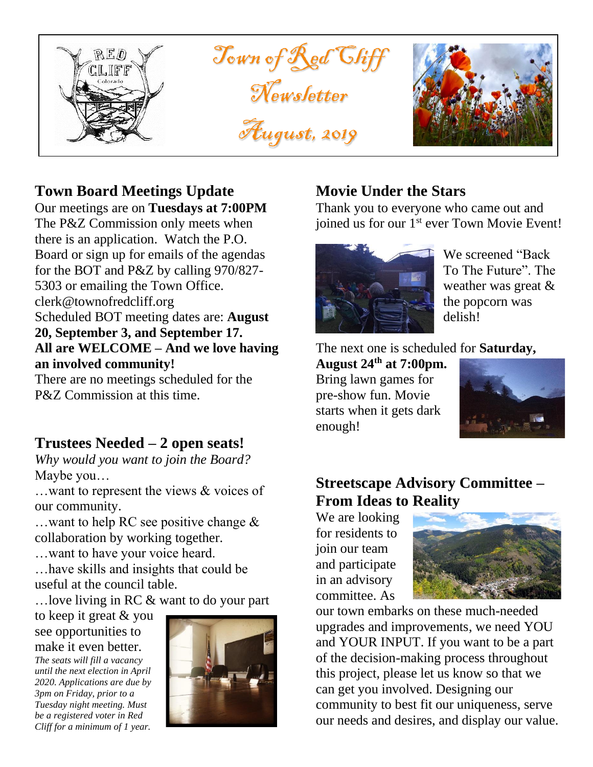

## **Town Board Meetings Update**

Our meetings are on **Tuesdays at 7:00PM** The P&Z Commission only meets when there is an application. Watch the P.O. Board or sign up for emails of the agendas for the BOT and P&Z by calling 970/827- 5303 or emailing the Town Office. clerk@townofredcliff.org Scheduled BOT meeting dates are: **August 20, September 3, and September 17. All are WELCOME – And we love having an involved community!**

There are no meetings scheduled for the P&Z Commission at this time.

## **Trustees Needed – 2 open seats!**

*Why would you want to join the Board?* Maybe you…

…want to represent the views & voices of our community.

…want to help RC see positive change & collaboration by working together.

…want to have your voice heard.

…have skills and insights that could be useful at the council table.

…love living in RC & want to do your part

to keep it great & you see opportunities to make it even better.

*The seats will fill a vacancy until the next election in April 2020. Applications are due by 3pm on Friday, prior to a Tuesday night meeting. Must be a registered voter in Red Cliff for a minimum of 1 year.* 



## **Movie Under the Stars**

Thank you to everyone who came out and joined us for our 1<sup>st</sup> ever Town Movie Event!



We screened "Back To The Future". The weather was great & the popcorn was delish!

The next one is scheduled for **Saturday,** 

**August 24th at 7:00pm.** Bring lawn games for pre-show fun. Movie starts when it gets dark enough!



## **Streetscape Advisory Committee – From Ideas to Reality**

We are looking for residents to join our team and participate in an advisory committee. As



our town embarks on these much-needed upgrades and improvements, we need YOU and YOUR INPUT. If you want to be a part of the decision-making process throughout this project, please let us know so that we can get you involved. Designing our community to best fit our uniqueness, serve our needs and desires, and display our value.